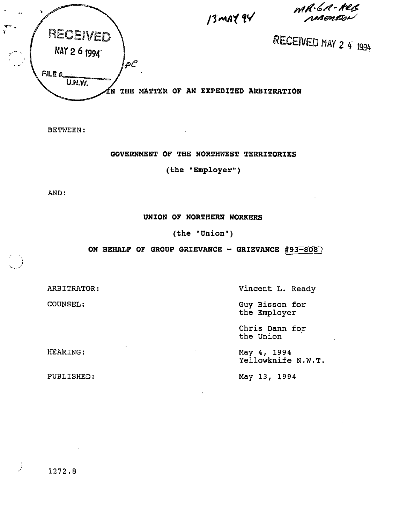MR·6A-HUL<br>MBentson



BETWEEN

GOVERNMENT OF THE NORTHWEST TERRITORIES

(the "Employer")

AND:

UNION OF NORTHERN WORKERS

(the "Union")

ON BEHALF OF GROUP GRIEVANCE - GRIEVANCE #93 $-$ 808)

ARBITRATOR:

COUNSEL:

HEARING:

Vincent L. Ready

Guy Bisson for the Employer

Chris Dann for the Union

May 4, 1994 Yellowknife N.W.T.

PUBLISHED:

May 13, 1994

1272.8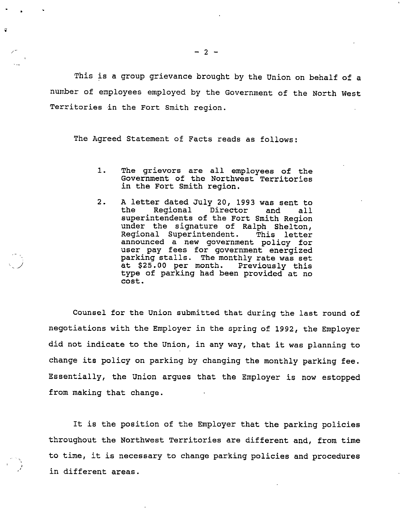This is a group grievance brought by the Union on behalf of a number of employees employed by the Government of the North West Territories in the Fort Smith region.

The Agreed Statement of Facts reads as follows:

- 1. The grievors are all employees of the Government of the Northwest Territories in the Fort Smith region.
- 2. <sup>A</sup> letter dated July 20, <sup>1993</sup> was sent to A letter dated oury 20, 1995 was sent to<br>the Regional Director and all the Regional Director and all<br>superintendents of the Fort Smith Region under the signature of Ralph Shelton, Regional Superintendent. This letter announced a new government policy for user pay fees for government energized parking stalls. The monthly rate was set at \$25.00 per month. Previously this type of parking had been provided at no cost.

Counsel for the Union submitted that during the last round of negotiations with the Employer in the spring of 1992, the Employer did not indicate to the Union, in any way, that it was planning to change its policy on parking by changing the monthly parking fee. Essentially, the Union argues that the Employer is now estopped from making that change.

It is the position of the Employer that the parking policies throughout the Northwest Territories are different and, from time to time, it is necessary to change parking policies and procedures in different areas.